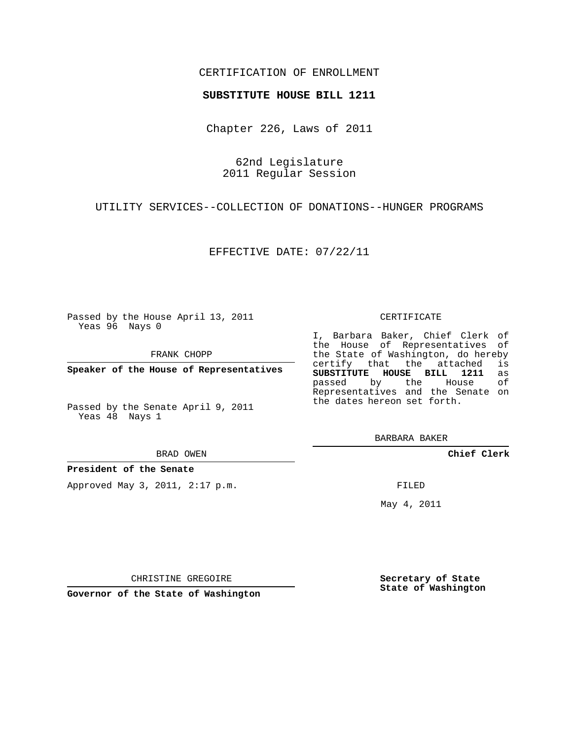## CERTIFICATION OF ENROLLMENT

### **SUBSTITUTE HOUSE BILL 1211**

Chapter 226, Laws of 2011

62nd Legislature 2011 Regular Session

UTILITY SERVICES--COLLECTION OF DONATIONS--HUNGER PROGRAMS

EFFECTIVE DATE: 07/22/11

Passed by the House April 13, 2011 Yeas 96 Nays 0

FRANK CHOPP

**Speaker of the House of Representatives**

Passed by the Senate April 9, 2011 Yeas 48 Nays 1

#### BRAD OWEN

**President of the Senate**

Approved May 3, 2011, 2:17 p.m.

#### CERTIFICATE

I, Barbara Baker, Chief Clerk of the House of Representatives of the State of Washington, do hereby<br>certify that the attached is certify that the attached **SUBSTITUTE HOUSE BILL 1211** as passed by the Representatives and the Senate on the dates hereon set forth.

BARBARA BAKER

**Chief Clerk**

FILED

May 4, 2011

**Secretary of State State of Washington**

CHRISTINE GREGOIRE

**Governor of the State of Washington**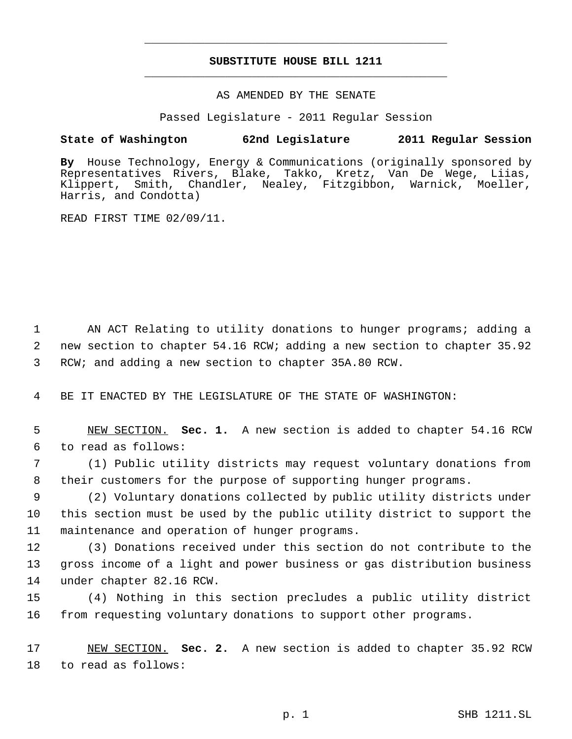# **SUBSTITUTE HOUSE BILL 1211** \_\_\_\_\_\_\_\_\_\_\_\_\_\_\_\_\_\_\_\_\_\_\_\_\_\_\_\_\_\_\_\_\_\_\_\_\_\_\_\_\_\_\_\_\_

\_\_\_\_\_\_\_\_\_\_\_\_\_\_\_\_\_\_\_\_\_\_\_\_\_\_\_\_\_\_\_\_\_\_\_\_\_\_\_\_\_\_\_\_\_

### AS AMENDED BY THE SENATE

Passed Legislature - 2011 Regular Session

## **State of Washington 62nd Legislature 2011 Regular Session**

**By** House Technology, Energy & Communications (originally sponsored by Representatives Rivers, Blake, Takko, Kretz, Van De Wege, Liias, Klippert, Smith, Chandler, Nealey, Fitzgibbon, Warnick, Moeller, Harris, and Condotta)

READ FIRST TIME 02/09/11.

 1 AN ACT Relating to utility donations to hunger programs; adding a 2 new section to chapter 54.16 RCW; adding a new section to chapter 35.92 3 RCW; and adding a new section to chapter 35A.80 RCW.

4 BE IT ENACTED BY THE LEGISLATURE OF THE STATE OF WASHINGTON:

 5 NEW SECTION. **Sec. 1.** A new section is added to chapter 54.16 RCW 6 to read as follows:

 7 (1) Public utility districts may request voluntary donations from 8 their customers for the purpose of supporting hunger programs.

 9 (2) Voluntary donations collected by public utility districts under 10 this section must be used by the public utility district to support the 11 maintenance and operation of hunger programs.

12 (3) Donations received under this section do not contribute to the 13 gross income of a light and power business or gas distribution business 14 under chapter 82.16 RCW.

15 (4) Nothing in this section precludes a public utility district 16 from requesting voluntary donations to support other programs.

17 NEW SECTION. **Sec. 2.** A new section is added to chapter 35.92 RCW 18 to read as follows: